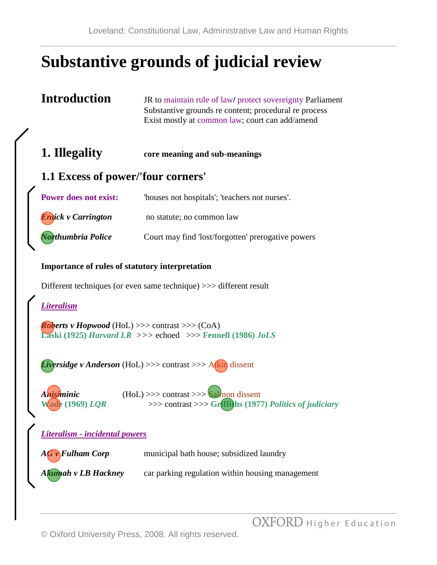# **Substantive grounds of judicial review**

| <b>Introduction</b>                                                                                                       | JR to maintain rule of law/ protect sovereignty Parliament<br>Substantive grounds re content; procedural re process<br>Exist mostly at common law; court can add/amend |  |  |
|---------------------------------------------------------------------------------------------------------------------------|------------------------------------------------------------------------------------------------------------------------------------------------------------------------|--|--|
| 1. Illegality                                                                                                             | core meaning and sub-meanings                                                                                                                                          |  |  |
| <b>1.1 Excess of power/'four corners'</b>                                                                                 |                                                                                                                                                                        |  |  |
| <b>Power does not exist:</b>                                                                                              | 'houses not hospitals'; 'teachers not nurses'.                                                                                                                         |  |  |
| <b>Entick v Carrington</b>                                                                                                | no statute; no common law                                                                                                                                              |  |  |
| Northumbria Police                                                                                                        | Court may find 'lost/forgotten' prerogative powers                                                                                                                     |  |  |
| <b>Importance of rules of statutory interpretation</b>                                                                    |                                                                                                                                                                        |  |  |
| Different techniques (or even same technique) >>> different result                                                        |                                                                                                                                                                        |  |  |
| <b>Literalism</b>                                                                                                         |                                                                                                                                                                        |  |  |
| <b>Roberts v Hopwood</b> (HoL) >>> contrast >>> (CoA)<br>Laski (1925) Harvard LR $\gg$ > echoed $\gg$ Fennell (1986) JoLS |                                                                                                                                                                        |  |  |
|                                                                                                                           | <i>iversidge v Anderson</i> (HoL) >>> contrast >>> Atkin dissent                                                                                                       |  |  |
|                                                                                                                           |                                                                                                                                                                        |  |  |

*Anisiminic* (HoL) >>> contrast >>> Salmon dissent **Wade (1969)** *LQR* >>> contrast >>> **Griffiths (1977)** *Politics of judiciary*

*Literalism - incidental powers*

*AG v Fulham Corp* municipal bath house; subsidized laundry

Akumah v LB Hackney car parking regulation within housing management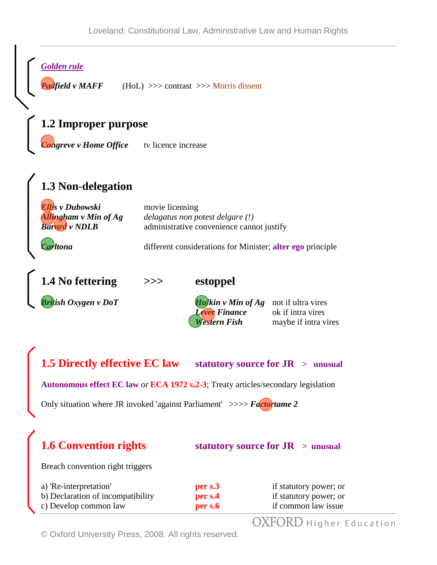*Golden rule* 

*Padfield v MAFF* (HoL) >>> contrast >>> Morris dissent

### **1.2 Improper purpose**

*Congreve v Home Office* tv licence increase

# **1.3 Non-delegation**

| Ellis v Dubowski<br><b>Allingham v Min of Ag<br/>Barnra v NDLB</b> | movie licensing<br>delagatus non potest delgare (!)<br>administrative convenience cannot justify |
|--------------------------------------------------------------------|--------------------------------------------------------------------------------------------------|
| Carltona                                                           | different considerations for Minister; alter ego principle                                       |

**1.4 No fettering >>> estoppel**

*British Oxygen v DoT Hulkin v Min of Ag* not if ultra vires *Lever Finance* ok if intra vires *Western Fish* maybe if intra vires

**1.5 Directly effective EC law statutory source for JR > unusual**

**Autonomous effect EC law** or **ECA 1972 s.2-3**; Treaty articles/secondary legislation

Only situation where JR invoked 'against Parliament' >>>> *Factor tame 2* 

## **1.6 Convention rights statutory source for JR > unusual**

Breach convention right triggers

| a) 'Re-interpretation'            | per s.3 | if statutory power; or |
|-----------------------------------|---------|------------------------|
| b) Declaration of incompatibility | per s.4 | if statutory power; or |
| c) Develop common law             | per s.6 | if common law issue    |

OXFORD Higher Education

© Oxford University Press, 2008. All rights reserved.